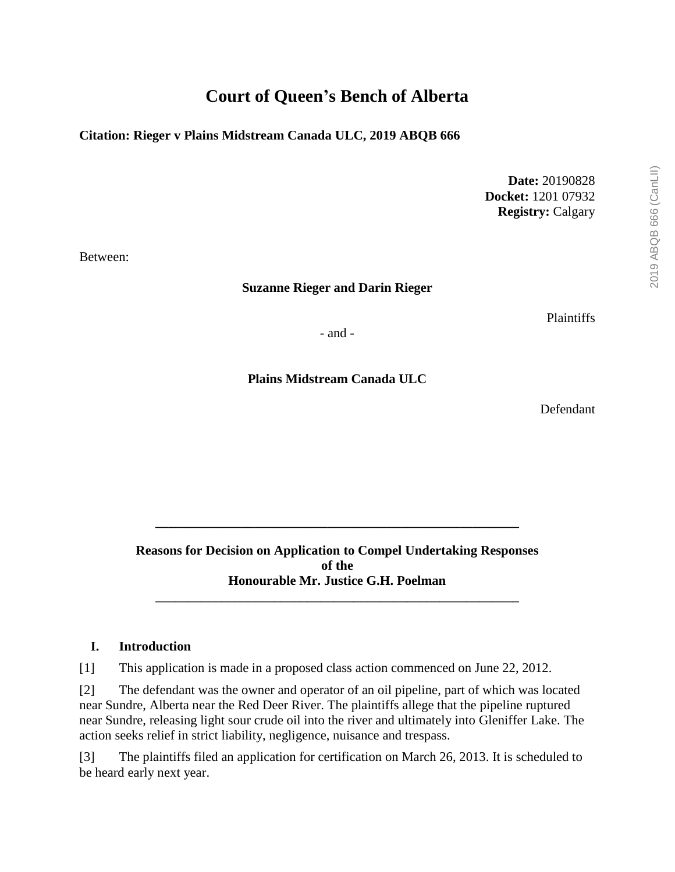# **Court of Queen's Bench of Alberta**

**Citation: Rieger v Plains Midstream Canada ULC, 2019 ABQB 666**

**Date:** 20190828 **Docket:** 1201 07932 **Registry:** Calgary

Between:

**Suzanne Rieger and Darin Rieger**

Plaintiffs

- and -

**Plains Midstream Canada ULC**

Defendant

**Reasons for Decision on Application to Compel Undertaking Responses of the Honourable Mr. Justice G.H. Poelman**

**\_\_\_\_\_\_\_\_\_\_\_\_\_\_\_\_\_\_\_\_\_\_\_\_\_\_\_\_\_\_\_\_\_\_\_\_\_\_\_\_\_\_\_\_\_\_\_\_\_\_\_\_\_\_\_**

**\_\_\_\_\_\_\_\_\_\_\_\_\_\_\_\_\_\_\_\_\_\_\_\_\_\_\_\_\_\_\_\_\_\_\_\_\_\_\_\_\_\_\_\_\_\_\_\_\_\_\_\_\_\_\_**

#### **I. Introduction**

[1] This application is made in a proposed class action commenced on June 22, 2012.

[2] The defendant was the owner and operator of an oil pipeline, part of which was located near Sundre, Alberta near the Red Deer River. The plaintiffs allege that the pipeline ruptured near Sundre, releasing light sour crude oil into the river and ultimately into Gleniffer Lake. The action seeks relief in strict liability, negligence, nuisance and trespass.

[3] The plaintiffs filed an application for certification on March 26, 2013. It is scheduled to be heard early next year.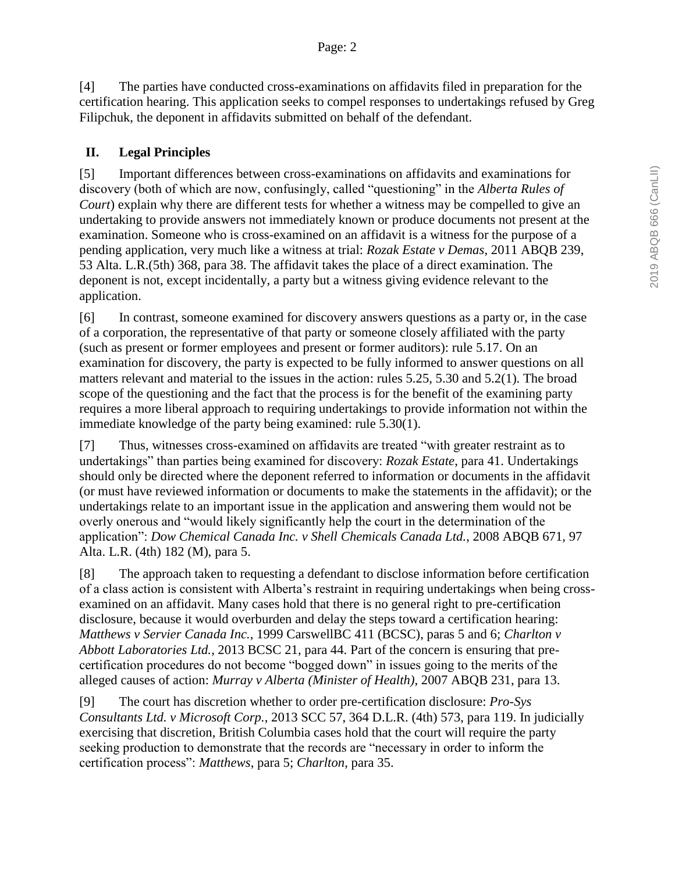[4] The parties have conducted cross-examinations on affidavits filed in preparation for the certification hearing. This application seeks to compel responses to undertakings refused by Greg Filipchuk, the deponent in affidavits submitted on behalf of the defendant.

# **II. Legal Principles**

[5] Important differences between cross-examinations on affidavits and examinations for discovery (both of which are now, confusingly, called "questioning" in the *Alberta Rules of Court*) explain why there are different tests for whether a witness may be compelled to give an undertaking to provide answers not immediately known or produce documents not present at the examination. Someone who is cross-examined on an affidavit is a witness for the purpose of a pending application, very much like a witness at trial: *Rozak Estate v Demas*, 2011 ABQB 239, 53 Alta. L.R.(5th) 368, para 38. The affidavit takes the place of a direct examination. The deponent is not, except incidentally, a party but a witness giving evidence relevant to the application.

[6] In contrast, someone examined for discovery answers questions as a party or, in the case of a corporation, the representative of that party or someone closely affiliated with the party (such as present or former employees and present or former auditors): rule 5.17. On an examination for discovery, the party is expected to be fully informed to answer questions on all matters relevant and material to the issues in the action: rules 5.25, 5.30 and 5.2(1). The broad scope of the questioning and the fact that the process is for the benefit of the examining party requires a more liberal approach to requiring undertakings to provide information not within the immediate knowledge of the party being examined: rule 5.30(1).

[7] Thus, witnesses cross-examined on affidavits are treated "with greater restraint as to undertakings" than parties being examined for discovery: *Rozak Estate*, para 41. Undertakings should only be directed where the deponent referred to information or documents in the affidavit (or must have reviewed information or documents to make the statements in the affidavit); or the undertakings relate to an important issue in the application and answering them would not be overly onerous and "would likely significantly help the court in the determination of the application": *Dow Chemical Canada Inc. v Shell Chemicals Canada Ltd.*, 2008 ABQB 671, 97 Alta. L.R. (4th) 182 (M), para 5.

[8] The approach taken to requesting a defendant to disclose information before certification of a class action is consistent with Alberta's restraint in requiring undertakings when being crossexamined on an affidavit. Many cases hold that there is no general right to pre-certification disclosure, because it would overburden and delay the steps toward a certification hearing: *Matthews v Servier Canada Inc.*, 1999 CarswellBC 411 (BCSC), paras 5 and 6; *Charlton v Abbott Laboratories Ltd.*, 2013 BCSC 21, para 44. Part of the concern is ensuring that precertification procedures do not become "bogged down" in issues going to the merits of the alleged causes of action: *Murray v Alberta (Minister of Health)*, 2007 ABQB 231, para 13.

[9] The court has discretion whether to order pre-certification disclosure: *Pro-Sys Consultants Ltd. v Microsoft Corp.*, 2013 SCC 57, 364 D.L.R. (4th) 573, para 119. In judicially exercising that discretion, British Columbia cases hold that the court will require the party seeking production to demonstrate that the records are "necessary in order to inform the certification process": *Matthews*, para 5; *Charlton*, para 35.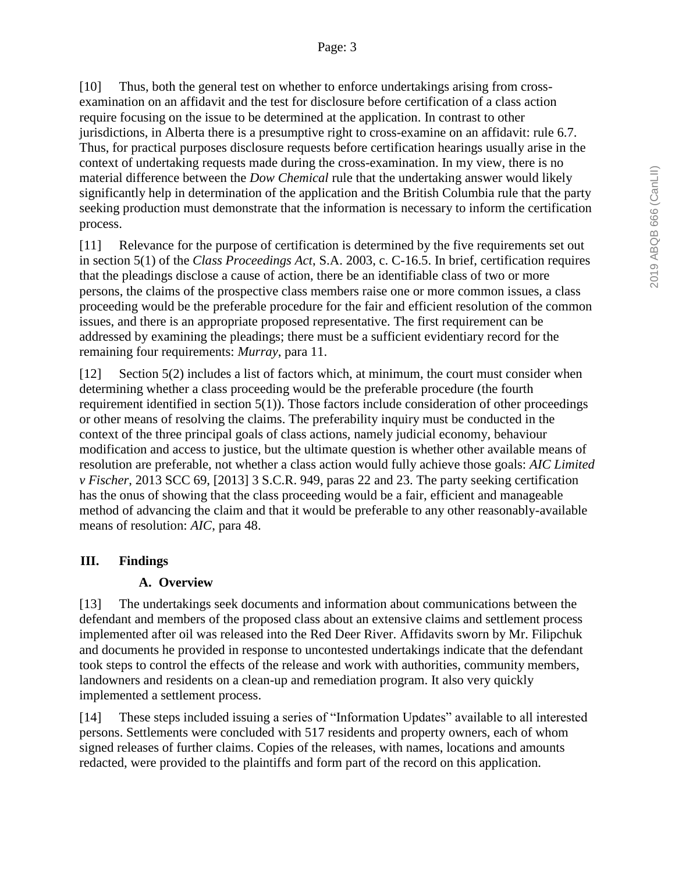[10] Thus, both the general test on whether to enforce undertakings arising from crossexamination on an affidavit and the test for disclosure before certification of a class action require focusing on the issue to be determined at the application. In contrast to other jurisdictions, in Alberta there is a presumptive right to cross-examine on an affidavit: rule 6.7. Thus, for practical purposes disclosure requests before certification hearings usually arise in the context of undertaking requests made during the cross-examination. In my view, there is no material difference between the *Dow Chemical* rule that the undertaking answer would likely significantly help in determination of the application and the British Columbia rule that the party seeking production must demonstrate that the information is necessary to inform the certification process.

[11] Relevance for the purpose of certification is determined by the five requirements set out in section 5(1) of the *Class Proceedings Act*, S.A. 2003, c. C-16.5. In brief, certification requires that the pleadings disclose a cause of action, there be an identifiable class of two or more persons, the claims of the prospective class members raise one or more common issues, a class proceeding would be the preferable procedure for the fair and efficient resolution of the common issues, and there is an appropriate proposed representative. The first requirement can be addressed by examining the pleadings; there must be a sufficient evidentiary record for the remaining four requirements: *Murray*, para 11.

[12] Section 5(2) includes a list of factors which, at minimum, the court must consider when determining whether a class proceeding would be the preferable procedure (the fourth requirement identified in section 5(1)). Those factors include consideration of other proceedings or other means of resolving the claims. The preferability inquiry must be conducted in the context of the three principal goals of class actions, namely judicial economy, behaviour modification and access to justice, but the ultimate question is whether other available means of resolution are preferable, not whether a class action would fully achieve those goals: *AIC Limited v Fischer*, 2013 SCC 69, [2013] 3 S.C.R. 949, paras 22 and 23. The party seeking certification has the onus of showing that the class proceeding would be a fair, efficient and manageable method of advancing the claim and that it would be preferable to any other reasonably-available means of resolution: *AIC*, para 48.

# **III. Findings**

# **A. Overview**

[13] The undertakings seek documents and information about communications between the defendant and members of the proposed class about an extensive claims and settlement process implemented after oil was released into the Red Deer River. Affidavits sworn by Mr. Filipchuk and documents he provided in response to uncontested undertakings indicate that the defendant took steps to control the effects of the release and work with authorities, community members, landowners and residents on a clean-up and remediation program. It also very quickly implemented a settlement process.

[14] These steps included issuing a series of "Information Updates" available to all interested persons. Settlements were concluded with 517 residents and property owners, each of whom signed releases of further claims. Copies of the releases, with names, locations and amounts redacted, were provided to the plaintiffs and form part of the record on this application.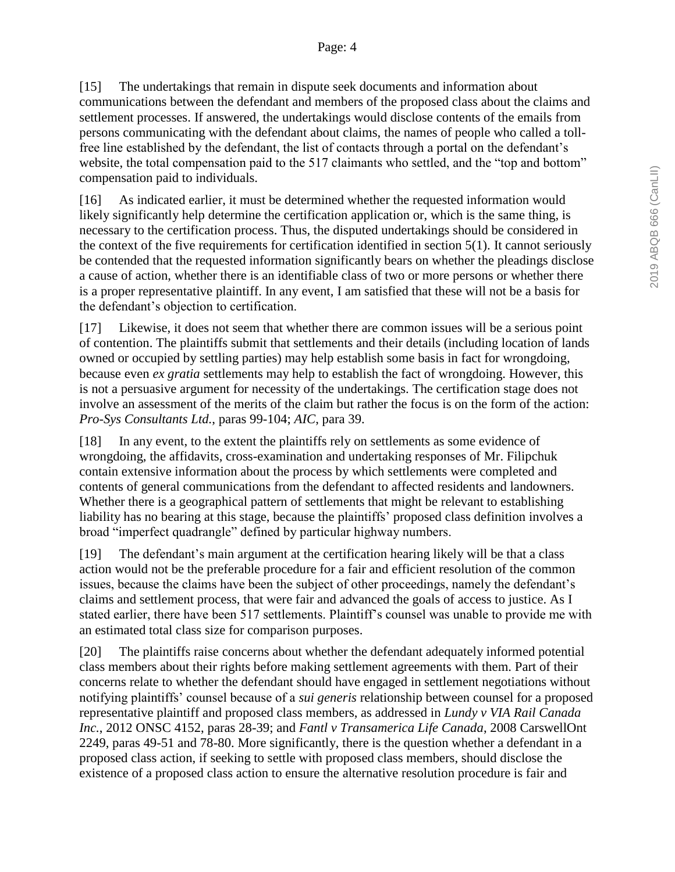[15] The undertakings that remain in dispute seek documents and information about communications between the defendant and members of the proposed class about the claims and settlement processes. If answered, the undertakings would disclose contents of the emails from persons communicating with the defendant about claims, the names of people who called a tollfree line established by the defendant, the list of contacts through a portal on the defendant's website, the total compensation paid to the 517 claimants who settled, and the "top and bottom" compensation paid to individuals.

[16] As indicated earlier, it must be determined whether the requested information would likely significantly help determine the certification application or, which is the same thing, is necessary to the certification process. Thus, the disputed undertakings should be considered in the context of the five requirements for certification identified in section 5(1). It cannot seriously be contended that the requested information significantly bears on whether the pleadings disclose a cause of action, whether there is an identifiable class of two or more persons or whether there is a proper representative plaintiff. In any event, I am satisfied that these will not be a basis for the defendant's objection to certification.

[17] Likewise, it does not seem that whether there are common issues will be a serious point of contention. The plaintiffs submit that settlements and their details (including location of lands owned or occupied by settling parties) may help establish some basis in fact for wrongdoing, because even *ex gratia* settlements may help to establish the fact of wrongdoing. However, this is not a persuasive argument for necessity of the undertakings. The certification stage does not involve an assessment of the merits of the claim but rather the focus is on the form of the action: *Pro-Sys Consultants Ltd.*, paras 99-104; *AIC*, para 39.

[18] In any event, to the extent the plaintiffs rely on settlements as some evidence of wrongdoing, the affidavits, cross-examination and undertaking responses of Mr. Filipchuk contain extensive information about the process by which settlements were completed and contents of general communications from the defendant to affected residents and landowners. Whether there is a geographical pattern of settlements that might be relevant to establishing liability has no bearing at this stage, because the plaintiffs' proposed class definition involves a broad "imperfect quadrangle" defined by particular highway numbers.

[19] The defendant's main argument at the certification hearing likely will be that a class action would not be the preferable procedure for a fair and efficient resolution of the common issues, because the claims have been the subject of other proceedings, namely the defendant's claims and settlement process, that were fair and advanced the goals of access to justice. As I stated earlier, there have been 517 settlements. Plaintiff's counsel was unable to provide me with an estimated total class size for comparison purposes.

[20] The plaintiffs raise concerns about whether the defendant adequately informed potential class members about their rights before making settlement agreements with them. Part of their concerns relate to whether the defendant should have engaged in settlement negotiations without notifying plaintiffs' counsel because of a *sui generis* relationship between counsel for a proposed representative plaintiff and proposed class members, as addressed in *Lundy v VIA Rail Canada Inc.*, 2012 ONSC 4152, paras 28-39; and *Fantl v Transamerica Life Canada*, 2008 CarswellOnt 2249, paras 49-51 and 78-80. More significantly, there is the question whether a defendant in a proposed class action, if seeking to settle with proposed class members, should disclose the existence of a proposed class action to ensure the alternative resolution procedure is fair and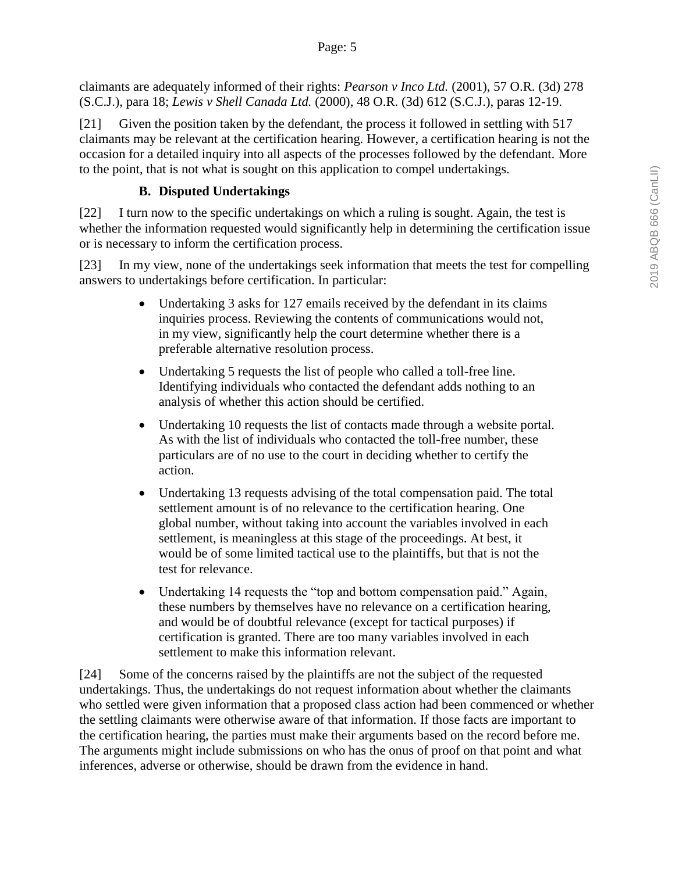claimants are adequately informed of their rights: *Pearson v Inco Ltd.* (2001), 57 O.R. (3d) 278 (S.C.J.), para 18; *Lewis v Shell Canada Ltd.* (2000), 48 O.R. (3d) 612 (S.C.J.), paras 12-19.

[21] Given the position taken by the defendant, the process it followed in settling with 517 claimants may be relevant at the certification hearing. However, a certification hearing is not the occasion for a detailed inquiry into all aspects of the processes followed by the defendant. More to the point, that is not what is sought on this application to compel undertakings.

# **B. Disputed Undertakings**

[22] I turn now to the specific undertakings on which a ruling is sought. Again, the test is whether the information requested would significantly help in determining the certification issue or is necessary to inform the certification process.

[23] In my view, none of the undertakings seek information that meets the test for compelling answers to undertakings before certification. In particular:

- Undertaking 3 asks for 127 emails received by the defendant in its claims inquiries process. Reviewing the contents of communications would not, in my view, significantly help the court determine whether there is a preferable alternative resolution process.
- Undertaking 5 requests the list of people who called a toll-free line. Identifying individuals who contacted the defendant adds nothing to an analysis of whether this action should be certified.
- Undertaking 10 requests the list of contacts made through a website portal. As with the list of individuals who contacted the toll-free number, these particulars are of no use to the court in deciding whether to certify the action.
- Undertaking 13 requests advising of the total compensation paid. The total settlement amount is of no relevance to the certification hearing. One global number, without taking into account the variables involved in each settlement, is meaningless at this stage of the proceedings. At best, it would be of some limited tactical use to the plaintiffs, but that is not the test for relevance.
- Undertaking 14 requests the "top and bottom compensation paid." Again, these numbers by themselves have no relevance on a certification hearing, and would be of doubtful relevance (except for tactical purposes) if certification is granted. There are too many variables involved in each settlement to make this information relevant.

[24] Some of the concerns raised by the plaintiffs are not the subject of the requested undertakings. Thus, the undertakings do not request information about whether the claimants who settled were given information that a proposed class action had been commenced or whether the settling claimants were otherwise aware of that information. If those facts are important to the certification hearing, the parties must make their arguments based on the record before me. The arguments might include submissions on who has the onus of proof on that point and what inferences, adverse or otherwise, should be drawn from the evidence in hand.